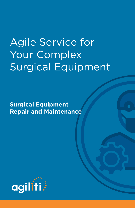# Agile Service for Your Complex Surgical Equipment

**Surgical Equipment Repair and Maintenance**

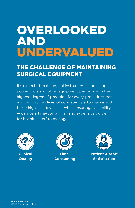# **OVERLOOKED** AND UNDERVALUED

### THE CHALLENGE OF MAINTAINING SURGICAL EQUIPMENT

It's expected that surgical instruments, endoscopes, power tools and other equipment perform with the highest degree of precision for every procedure. Yet, maintaining this level of consistent performance with these high-use devices — while ensuring availability — can be a time-consuming and expensive burden for hospital staff to manage.







**Patient & Staff Satisfaction**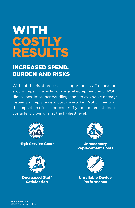# **WITH** COSTLY RESULTS

### INCREASED SPEND, BURDEN AND RISKS

Without the right processes, support and staff education around repair lifecycles of surgical equipment, your ROI diminishes. Improper handling leads to avoidable damage. Repair and replacement costs skyrocket. Not to mention the impact on clinical outcomes if your equipment doesn't consistently perform at the highest level.



**High Service Costs**



**Decreased Staff Satisfaction**



**Unnecessary Replacement Costs**



**Unreliable Device Performance**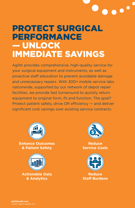

## PROTECT SURGICAL PERFORMANCE — UNLOCK IMMEDIATE SAVINGS

Agiliti provides comprehensive, high-quality service for your surgical equipment and instruments, as well as proactive staff education to prevent avoidable damage and unnecessary repairs. With 300+ mobile service labs nationwide, supported by our network of depot repair facilities, we provide fast turnaround to quickly return equipment to original form, fit and function. The goal? Protect patient safety, drive OR efficiency — and deliver significant cost savings over existing service contracts.



**Enhance Outcomes & Patient Safety**



**Actionable Data & Analytics**



**Reduce Service Costs**



**Reduce Staff Burdens**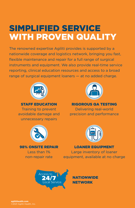## SIMPLIFIED SERVICE WITH PROVEN QUALITY

The renowned expertise Agiliti provides is supported by a nationwide coverage and logistics network, bringing you fast, flexible maintenance and repair for a full range of surgical instruments and equipment. We also provide real-time service reporting, clinical education resources and access to a broad range of surgical equipment loaners — at no added charge.



STAFF EDUCATION Training to prevent avoidable damage and unnecessary repairs



98% ONSITE REPAIR Less than 1%

non-repair rate

RIGOROUS QA TESTING Delivering real-world precision and performance



LOANER EQUIPMENT Large inventory of loaner equipment, available at no charge



NATIONWIDE NETWORK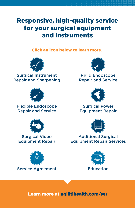### Responsive, high-quality service for your surgical equipment and instruments

Click an icon below to learn more.



Surgical Instrument [Repair and Sharpening](#page-6-0)



[Flexible Endoscope](#page-8-0)  Repair and Service



Surgical Video [Equipment Repair](#page-10-0)





Rigid Endoscope [Repair and Service](#page-7-0)



Surgical Power [Equipment Repair](#page-9-0)



**Additional Surgical** [Equipment Repair Services](#page-11-0)



Learn more at [agilitihealth.com/ser](http://agilitihealth.com/ser)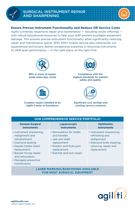#### <span id="page-6-0"></span>**Ensure Precise Instrument Functionality and Reduce OR Service Costs**

Agiliti combines responsive repair and maintenance — including onsite offerings with robust educational resources to help your staff prevent avoidable equipment damage. This ensures precise instrument functionality while significantly reducing repair and maintenance spend. With 300+ mobile service labs nationwide, our experienced technicians deliver exceptional expertise in returning instruments to OEM level performance  $-$  in the right place, at the right time.



98% or more of repairs made same-day, onsite



Complex repairs handled at an Agiliti Center of Excellence



Compliance with the highest standards for patient safety and quality



Significant cost savings over existing service contracts

| <b>OUR COMPREHENSIVE SERVICE PORTFOLIO</b>                                                                                                                                                                       |                                                                                                                                                    |                                                                                                                                |  |
|------------------------------------------------------------------------------------------------------------------------------------------------------------------------------------------------------------------|----------------------------------------------------------------------------------------------------------------------------------------------------|--------------------------------------------------------------------------------------------------------------------------------|--|
| <b>General Surgical</b><br><b>Instruments</b>                                                                                                                                                                    | Laparoscopic<br><b>Instruments</b>                                                                                                                 | <b>Ophthalmic</b><br><b>Instruments</b>                                                                                        |  |
| • Instrument sharpening,<br>realignment and<br>refurbishment<br>• Diamond dusting<br>• Needle holder insert<br>replacement<br>• Bipolar forcep repair<br>and reinsulation<br>• Managed preventive<br>maintenance | • Reinsulation for shafts<br>and handles<br>• Jaw and shaft<br>replacement<br>• Rotator and flush port<br>replacement<br>• Ratchet and lock repair | • Instrument sharpening,<br>refinishing and<br>realignment<br>• Diamond knife cleaning,<br>rehoning, repair and<br>replacement |  |

**LASER MARKING/BARCODING AVAILABLE FOR MOST SURGICAL EQUIPMENT**

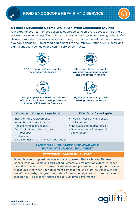#### **Optimize Equipment Uptime While Achieving Guaranteed Savings**

Our experienced team of specialists is equipped to keep every aspect of your rigid endoscopes  $-$  including fiber optic and video technology  $-$  performing reliably. We deliver comprehensive repair services — along with proactive education to prevent avoidable damage — to extend equipment life and improve uptime, while achieving significant cost savings over existing service contracts.



<span id="page-7-0"></span>basically a long rod

98% of equipment successfully repaired or refurbished



Stringent parts standards and stateof-the-art equipment-testing software to meet OEM level performance

Staff education to prevent avoidable equipment damage and unnecessary repairs



#### Significant cost savings over existing service contracts

| <b>Common to Complex Scope Repairs</b>                                                                                                                                                                             | <b>Fiber Optic Cable Repairs</b>                                                                                                     |
|--------------------------------------------------------------------------------------------------------------------------------------------------------------------------------------------------------------------|--------------------------------------------------------------------------------------------------------------------------------------|
| • Insertion tube replacements<br>• Image bundle replacements<br>• Robotic endoscope repairs<br>• Semi-rigid fiber ureteroscopes<br>• Arthroscopes<br>• Cystoscopes<br>• Carpal tunnel and other small joint scopes | • Medical fiber optic and sheath<br>replacement<br>• Hardware and adaptor repair<br>• Bifurcated and other specialty<br>cable repair |

#### **LASER MARKING/BARCODING AVAILABLE FOR MOST SURGICAL EQUIPMENT**

#### **EXTENSIVE LOANER INVENTORY**

Schedules can't stop just because a scope is broken. That's why we offer free loaners while we repair your surgical equipment. We maintain an extensive loaner collection to meet our customers' preferences and prevent any disruption to planned procedures. And when your equipment comes to the end of its life, Agiliti also has one of the industry's largest inventories of pre-owned rigid endoscopes, parts and accessories — all expertly refurbished to OEM level performance.

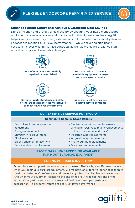#### <span id="page-8-0"></span>**Enhance Patient Safety and Achieve Guaranteed Cost Savings**

Drive efficiency and protect clinical quality by ensuring your flexible endoscope equipment is always available and maintained to the highest standards. Agiliti helps keep your inventory of large-diameter, small-diameter and specialty flexible endoscopes meeting OEM level performance — while delivering significant cost savings over existing service contracts as well as providing proactive staff education to prevent avoidable damage.



98% of equipment successfully repaired or refurbished



Stringent parts standards and stateof-the-art equipment-testing software to meet OEM level performance



Staff education to prevent avoidable equipment damage and unnecessary repairs



#### Significant cost savings over existing service contracts

#### **OUR EXTENSIVE SERVICE PORTFOLIO**

#### **Common to Complex Scope Repairs**

- Control knob and angulation adjustment
- O-ring replacement
- Elevator wire adjustment
- Fluid invasion
- Biopsy channel replacement
- Bending sheath replacement
- Electronic repair and replacements (including CCD repairs and replacements, ribbons, harnesses and more)
- Insertion tube replacements
- Angulation system overhauls
- Image bundle replacements
- Distal end replacements

#### **LASER MARKING/BARCODING AVAILABLE FOR MOST SURGICAL EQUIPMENT**

#### **EXTENSIVE LOANER INVENTORY**

Schedules can't stop just because a scope is broken. That's why we offer free loaners while we repair your surgical equipment. We maintain an extensive loaner collection to meet our customers' preferences and prevent any disruption to planned procedures. And when your equipment comes to the end of its life, Agiliti also has one of the industry's largest inventories of pre-owned flexible endoscopes, parts and accessories — all expertly refurbished to OEM level performance.

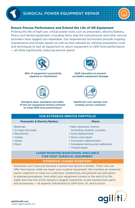#### <span id="page-9-0"></span>**Ensure Precise Performance and Extend the Life of OR Equipment**

Prolong the life of high-use, critical power tools such as pneumatic, electric/battery, Phaco and dental equipment, including items that the manufacturer and other service providers have tagged non-repairable. Our experienced technicians provide ongoing maintenance and simple repairs as well as total rebuilds by utilizing proprietary tools and techniques to test all equipment to return equipment to OEM level performance — all while significantly reducing service spend.



98% of equipment successfully repaired or refurbished



Staff education to prevent avoidable equipment damage



Stringent parts standards and stateof-the-art equipment-testing software to meet OEM level performance

Significant cost savings over existing service contracts

**\$**

| <b>OUR EXTENSIVE SERVICE PORTFOLIO</b>  |                                    |  |  |  |
|-----------------------------------------|------------------------------------|--|--|--|
| <b>Pneumatic &amp; Electric/Battery</b> | <b>Phaco</b>                       |  |  |  |
| • Bearings                              | • New ultrasonic motors            |  |  |  |
| • O-rings and seals                     | (including ceramic crystals)       |  |  |  |
| • Electronics                           | • Cord replacement                 |  |  |  |
| • Cables                                | • Nose cone repair                 |  |  |  |
| $\cdot$ Hoses                           | • Connector replacement            |  |  |  |
| • More                                  | • Complete testing and calibration |  |  |  |
|                                         | • Thread repair                    |  |  |  |

#### **LASER MARKING/BARCODING AVAILABLE FOR MOST SURGICAL EQUIPMENT**

#### **EXTENSIVE LOANER INVENTORY**

Schedules can't stop just because a power tool device is broken. That's why we offer free loaners while we repair your surgical equipment. We maintain an extensive loaner collection to meet our customers' preferences and prevent any disruption to planned procedures. And when your equipment comes to the end of its life, Agiliti also has one of the industry's largest inventories of pre-owned tools, parts and accessories — all expertly refurbished to OEM form, fit, and function.

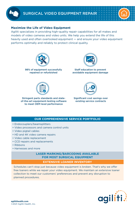#### <span id="page-10-0"></span>**Maximize the Life of Video Equipment**

Agiliti specializes in providing high-quality repair capabilities for all makes and models of video cameras and video units. We help you extend the life of this heavily used and often overlooked equipment — and ensure your video equipment performs optimally and reliably to protect clinical quality.



98% of equipment successfully repaired or refurbished



Staff education to prevent avoidable equipment damage



Stringent parts standards and stateof-the-art equipment-testing software to meet OEM level performance



#### Significant cost savings over existing service contracts

#### **OUR COMPREHENSIVE SERVICE PORTFOLIO**

- Endocouplers/beamsplitters
- Video processors and camera control units
- Video pigtail cables
- HD and 4K video camera repairs
- Video cable replacement
- CCD repairs and replacements
- Ribbons
- Harnesses and more

#### **LASER MARKING/BARCODING AVAILABLE FOR MOST SURGICAL EQUIPMENT**

#### **EXTENSIVE LOANER INVENTORY**

Schedules can't stop just because video equipment is broken. That's why we offer free loaners while we repair your video equipment. We maintain an extensive loaner collection to meet our customers' preferences and prevent any disruption to planned procedures.

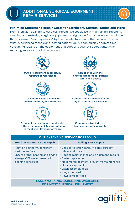#### <span id="page-11-0"></span>**Minimize Equipment Repair Costs for Sterilizers, Surgical Tables and More**

From sterilizer cleaning to case cart repairs, we specialize in maintaining, repairing, cleaning and restoring surgical equipment to original performance — even equipment that is deemed "non-repairable" by the manufacturer and other service providers. With experienced technicians located nationwide, we can quickly address timeconsuming repairs on the equipment that supports your OR operations, while reducing service costs in the process.



98% of equipment successfully repaired or refurbished



#### 300+ mobile labs nationwide enable same-day, onsite repairs



Stringent parts standards and stateof-the-art equipment-testing software to meet OEM level performance



Compliance with the highest standards for patient safety and quality



#### Complex repairs handled at an Agiliti Center of Excellence



Comprehensive, industryleading, one-year warranty

| <b>OUR EXTENSIVE SERVICE PORTFOLIO</b>                                                                                                         |                                                                                                                                                                                                                                                                                         |  |
|------------------------------------------------------------------------------------------------------------------------------------------------|-----------------------------------------------------------------------------------------------------------------------------------------------------------------------------------------------------------------------------------------------------------------------------------------|--|
| <b>Sterilizer Maintenance &amp; Repair</b>                                                                                                     | <b>Rolling Stock Repair</b>                                                                                                                                                                                                                                                             |  |
| • Maintain a uniform, consistent<br>sterilizer surface<br>• Ensure proper heating and drying<br>• Manage OEM-recommended<br>cleaning schedules | • Case carts, crash carts, IV poles, surgery<br>tables and more<br>• Routine maintenance and on-demand repairs<br>• Caster replacements<br>• Molding replacement, preventive maintenance<br>• Moor realignment<br>• Latch assembly repair<br>• Hinge pin repair<br>• Rewelding services |  |
|                                                                                                                                                | <b>LASER MARKING/BARCODING AVAILABLE</b><br><b>FOR MOST SURGICAL EQUIPMENT</b>                                                                                                                                                                                                          |  |

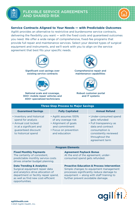#### <span id="page-12-0"></span>**Service Contracts Aligned to Your Needs — with Predictable Outcomes**

Agiliti provides an alternative to restrictive and burdensome service contracts, delivering the flexibility you want — with the fixed costs and guaranteed outcomes you need. We offer a wide range of comprehensive, fixed-fee programs that provide full repair and maintenance services. Select your desired types of surgical equipment and instruments, and we'll work with you to align on the service agreement that best fits your specific needs.



Significant cost savings over existing service contracts



National scale and coverage, 300+ mobile repair vehicles and 400+ specialized technicians



Comprehensive repair and maintenance capabilities



Robust customer portal and IT systems

| <b>Three-Step Process to Major Savings</b>                                                                                                                                                                  |                                                                                                                                   |                                                                                                        |                                                                                                                                                                                           |  |
|-------------------------------------------------------------------------------------------------------------------------------------------------------------------------------------------------------------|-----------------------------------------------------------------------------------------------------------------------------------|--------------------------------------------------------------------------------------------------------|-------------------------------------------------------------------------------------------------------------------------------------------------------------------------------------------|--|
| <b>Guaranteed Savings</b>                                                                                                                                                                                   | <b>Fully Capitated</b>                                                                                                            |                                                                                                        | <b>Annual Refund</b>                                                                                                                                                                      |  |
| • Inventory and historical<br>spend for analysis<br>• Annual cost locked<br>in at a significant and<br>guaranteed discount<br>to historical spend                                                           | • Agiliti assumes 100%<br>of any overage risk<br>• Alignment of goals<br>and commitment<br>• Focus on prevention<br>and education |                                                                                                        | • Under-consumed spend<br>gets refunded<br>• Full transparency as<br>data and contract<br>consumption is<br>consistently reviewed<br>throughout the<br>agreement term                     |  |
| <b>Program Elements</b>                                                                                                                                                                                     |                                                                                                                                   |                                                                                                        |                                                                                                                                                                                           |  |
| <b>Fixed Monthly Payments</b><br>The certainty of consistent,<br>predictable monthly service costs<br>drives smarter budget planning.                                                                       |                                                                                                                                   | <b>Agreement Payback Bonus</b><br>At the end of the agreement, under-<br>consumed spend gets refunded. |                                                                                                                                                                                           |  |
| <b>Data Trending &amp; Analytics</b><br>Surgical equipment repair data<br>and analytics drive allocation of<br>department or facility repair spend,<br>as well as find new cost-efficient<br>opportunities. |                                                                                                                                   | further prevent avoidable damage.                                                                      | <b>Proactive Education &amp; Process Intervention</b><br>Simple changes to equipment management<br>processes significantly reduce damage to<br>equipment $-$ along with staff training to |  |

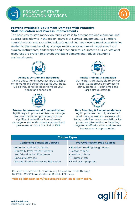#### <span id="page-13-0"></span>**Prevent Avoidable Equipment Damage with Proactive Staff Education and Process Improvements**

The best way to save money on repair costs is to prevent avoidable damage and address breakdowns in the repair lifecycle of surgical equipment. Agiliti offers comprehensive and accredited education, training and development opportunities related to the care, handling, storage, maintenance and repair requirements of surgical instruments, endoscopes and other surgical equipment. Our educational resources are proven to prevent avoidable damage and reduce downtime and repair costs.



#### **Online & On-Demand Resources**

Online educational resources are available on-demand and structured to fit your pace. Go slower, or faster, depending on your needs and schedules.



**Process Improvement & Standardization** Agiliti helps improve sterilization, storage and transportation processes to drive significant reductions in equipment damage — and scales these standardized processes across a hospital or IDN.



#### **Onsite Training & Education**

Our experts are available to deliver onsite, CE approved inservices to our customers — both small and large-group settings.



#### **Data Trending & Recommendations**

Agiliti provides monthly reviews of repair data, as well as process audit tools, to deliver recommendations for proactive intervention — including targeted staff education and process improvement opportunities.

| <b>Course Types</b>                                                                                                                                               |                                                                                                                     |  |  |
|-------------------------------------------------------------------------------------------------------------------------------------------------------------------|---------------------------------------------------------------------------------------------------------------------|--|--|
| <b>Continuing Education Courses</b>                                                                                                                               | <b>Pre-Certification Prep Courses</b>                                                                               |  |  |
| • Stainless Steel Instruments<br>• Minimally Invasive Instruments<br>and Visualization Equipment<br>• Specialty Devices<br>• General Sterile Processing Education | • Textbook reading assignments<br>• Lesson videos<br>• Weekly quizzes<br>• Progress tests<br>• Final exam prep test |  |  |

Courses are certified for Continuing Education Credit through IAHCSM, CBSPD and California Board of Nursing.

#### **[Visit agilitihealth.com/resources/education to learn more.](https://www.agilitihealth.com/resources/education)**